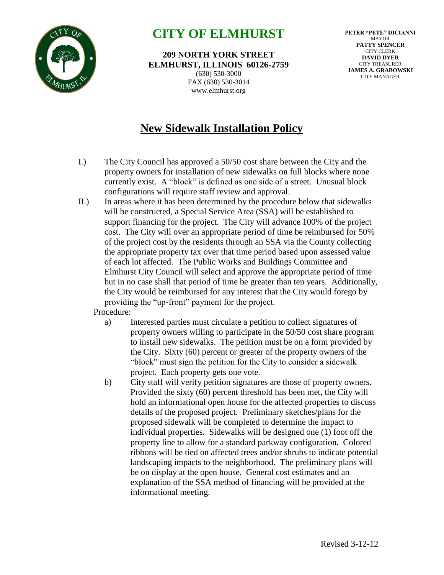

## **CITY OF ELMHURST**

**209 NORTH YORK STREET ELMHURST, ILLINOIS 60126-2759** (630) 530-3000 FAX (630) 530-3014 www.elmhurst.org

**PETER "PETE" DICIANNI** MAYOR **PATTY SPENCER** CITY CLERK **DAVID DYER** CITY TREASURER **JAMES A. GRABOWSKI** CITY MANAGER

## **New Sidewalk Installation Policy**

- I.) The City Council has approved a 50/50 cost share between the City and the property owners for installation of new sidewalks on full blocks where none currently exist. A "block" is defined as one side of a street. Unusual block configurations will require staff review and approval.
- II.) In areas where it has been determined by the procedure below that sidewalks will be constructed, a Special Service Area (SSA) will be established to support financing for the project. The City will advance 100% of the project cost. The City will over an appropriate period of time be reimbursed for 50% of the project cost by the residents through an SSA via the County collecting the appropriate property tax over that time period based upon assessed value of each lot affected. The Public Works and Buildings Committee and Elmhurst City Council will select and approve the appropriate period of time but in no case shall that period of time be greater than ten years. Additionally, the City would be reimbursed for any interest that the City would forego by providing the "up-front" payment for the project.

Procedure:

- a) Interested parties must circulate a petition to collect signatures of property owners willing to participate in the 50/50 cost share program to install new sidewalks. The petition must be on a form provided by the City. Sixty (60) percent or greater of the property owners of the "block" must sign the petition for the City to consider a sidewalk project. Each property gets one vote.
- b) City staff will verify petition signatures are those of property owners. Provided the sixty (60) percent threshold has been met, the City will hold an informational open house for the affected properties to discuss details of the proposed project. Preliminary sketches/plans for the proposed sidewalk will be completed to determine the impact to individual properties. Sidewalks will be designed one (1) foot off the property line to allow for a standard parkway configuration. Colored ribbons will be tied on affected trees and/or shrubs to indicate potential landscaping impacts to the neighborhood. The preliminary plans will be on display at the open house. General cost estimates and an explanation of the SSA method of financing will be provided at the informational meeting.